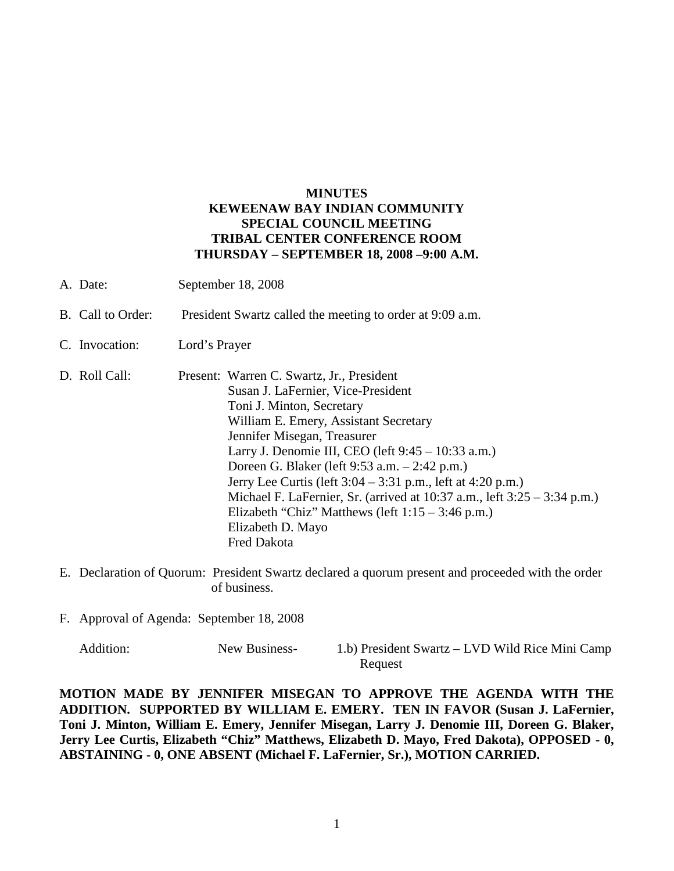## **MINUTES KEWEENAW BAY INDIAN COMMUNITY SPECIAL COUNCIL MEETING TRIBAL CENTER CONFERENCE ROOM THURSDAY – SEPTEMBER 18, 2008 –9:00 A.M.**

- A. Date: September 18, 2008
- B. Call to Order: President Swartz called the meeting to order at 9:09 a.m.
- C. Invocation: Lord's Prayer
- D. Roll Call: Present: Warren C. Swartz, Jr., President Susan J. LaFernier, Vice-President Toni J. Minton, Secretary William E. Emery, Assistant Secretary Jennifer Misegan, Treasurer Larry J. Denomie III, CEO (left 9:45 – 10:33 a.m.) Doreen G. Blaker (left 9:53 a.m. – 2:42 p.m.) Jerry Lee Curtis (left 3:04 – 3:31 p.m., left at 4:20 p.m.) Michael F. LaFernier, Sr. (arrived at 10:37 a.m., left 3:25 – 3:34 p.m.) Elizabeth "Chiz" Matthews (left  $1:15 - 3:46$  p.m.) Elizabeth D. Mayo Fred Dakota
- E. Declaration of Quorum: President Swartz declared a quorum present and proceeded with the order of business.
- F. Approval of Agenda: September 18, 2008

| Addition: | New Business- | 1.b) President Swartz – LVD Wild Rice Mini Camp |
|-----------|---------------|-------------------------------------------------|
|           |               | Request                                         |

**MOTION MADE BY JENNIFER MISEGAN TO APPROVE THE AGENDA WITH THE ADDITION. SUPPORTED BY WILLIAM E. EMERY. TEN IN FAVOR (Susan J. LaFernier, Toni J. Minton, William E. Emery, Jennifer Misegan, Larry J. Denomie III, Doreen G. Blaker, Jerry Lee Curtis, Elizabeth "Chiz" Matthews, Elizabeth D. Mayo, Fred Dakota), OPPOSED - 0, ABSTAINING - 0, ONE ABSENT (Michael F. LaFernier, Sr.), MOTION CARRIED.**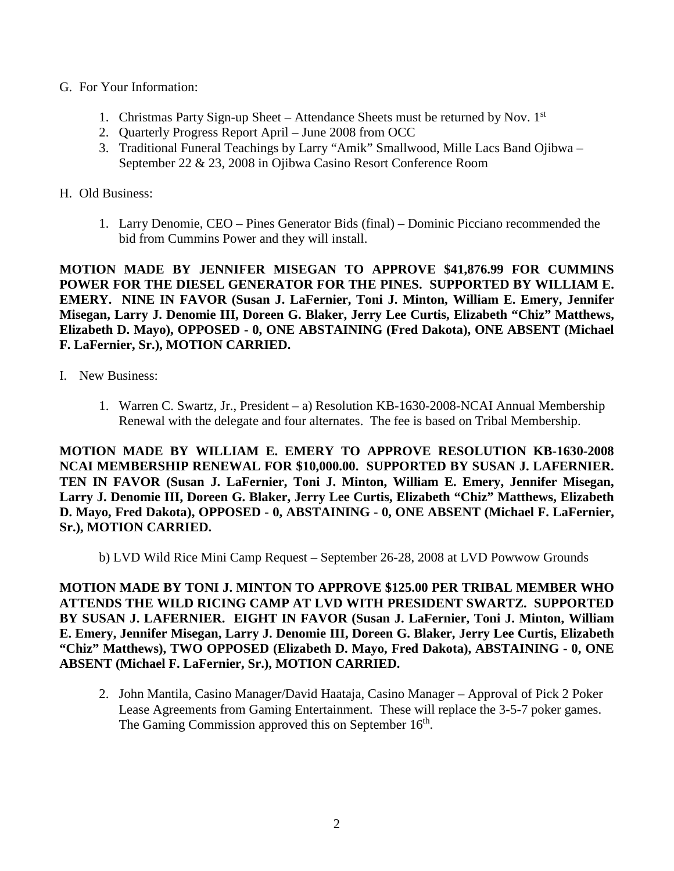- G. For Your Information:
	- 1. Christmas Party Sign-up Sheet Attendance Sheets must be returned by Nov.  $1<sup>st</sup>$
	- 2. Quarterly Progress Report April June 2008 from OCC
	- 3. Traditional Funeral Teachings by Larry "Amik" Smallwood, Mille Lacs Band Ojibwa September 22 & 23, 2008 in Ojibwa Casino Resort Conference Room
- H. Old Business:
	- 1. Larry Denomie, CEO Pines Generator Bids (final) Dominic Picciano recommended the bid from Cummins Power and they will install.

**MOTION MADE BY JENNIFER MISEGAN TO APPROVE \$41,876.99 FOR CUMMINS POWER FOR THE DIESEL GENERATOR FOR THE PINES. SUPPORTED BY WILLIAM E. EMERY. NINE IN FAVOR (Susan J. LaFernier, Toni J. Minton, William E. Emery, Jennifer Misegan, Larry J. Denomie III, Doreen G. Blaker, Jerry Lee Curtis, Elizabeth "Chiz" Matthews, Elizabeth D. Mayo), OPPOSED - 0, ONE ABSTAINING (Fred Dakota), ONE ABSENT (Michael F. LaFernier, Sr.), MOTION CARRIED.**

- I. New Business:
	- 1. Warren C. Swartz, Jr., President a) Resolution KB-1630-2008-NCAI Annual Membership Renewal with the delegate and four alternates. The fee is based on Tribal Membership.

**MOTION MADE BY WILLIAM E. EMERY TO APPROVE RESOLUTION KB-1630-2008 NCAI MEMBERSHIP RENEWAL FOR \$10,000.00. SUPPORTED BY SUSAN J. LAFERNIER. TEN IN FAVOR (Susan J. LaFernier, Toni J. Minton, William E. Emery, Jennifer Misegan, Larry J. Denomie III, Doreen G. Blaker, Jerry Lee Curtis, Elizabeth "Chiz" Matthews, Elizabeth D. Mayo, Fred Dakota), OPPOSED - 0, ABSTAINING - 0, ONE ABSENT (Michael F. LaFernier, Sr.), MOTION CARRIED.**

b) LVD Wild Rice Mini Camp Request – September 26-28, 2008 at LVD Powwow Grounds

**MOTION MADE BY TONI J. MINTON TO APPROVE \$125.00 PER TRIBAL MEMBER WHO ATTENDS THE WILD RICING CAMP AT LVD WITH PRESIDENT SWARTZ. SUPPORTED BY SUSAN J. LAFERNIER. EIGHT IN FAVOR (Susan J. LaFernier, Toni J. Minton, William E. Emery, Jennifer Misegan, Larry J. Denomie III, Doreen G. Blaker, Jerry Lee Curtis, Elizabeth "Chiz" Matthews), TWO OPPOSED (Elizabeth D. Mayo, Fred Dakota), ABSTAINING - 0, ONE ABSENT (Michael F. LaFernier, Sr.), MOTION CARRIED.**

2. John Mantila, Casino Manager/David Haataja, Casino Manager – Approval of Pick 2 Poker Lease Agreements from Gaming Entertainment. These will replace the 3-5-7 poker games. The Gaming Commission approved this on September 16<sup>th</sup>.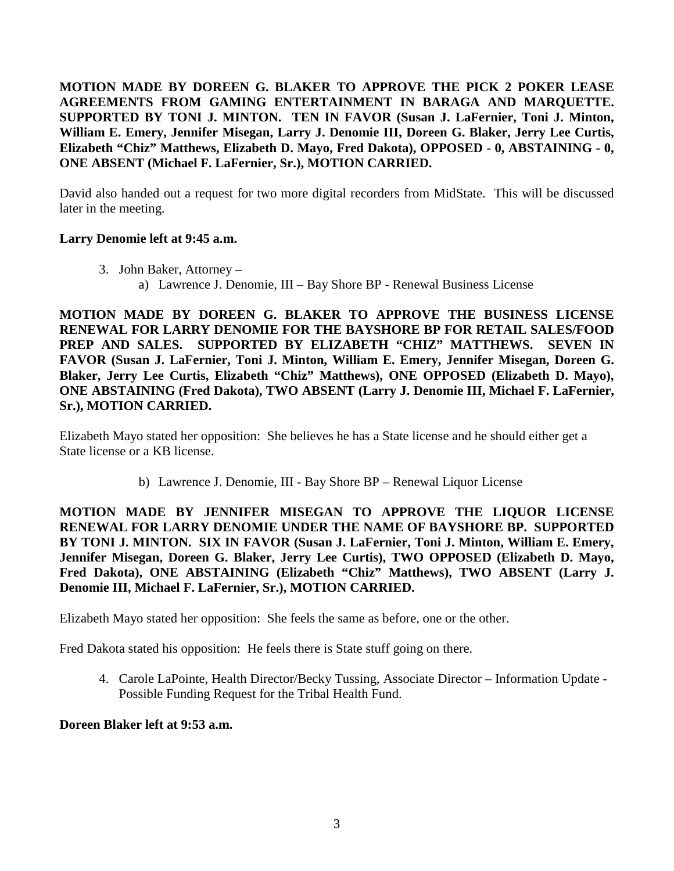**MOTION MADE BY DOREEN G. BLAKER TO APPROVE THE PICK 2 POKER LEASE AGREEMENTS FROM GAMING ENTERTAINMENT IN BARAGA AND MARQUETTE. SUPPORTED BY TONI J. MINTON. TEN IN FAVOR (Susan J. LaFernier, Toni J. Minton, William E. Emery, Jennifer Misegan, Larry J. Denomie III, Doreen G. Blaker, Jerry Lee Curtis, Elizabeth "Chiz" Matthews, Elizabeth D. Mayo, Fred Dakota), OPPOSED - 0, ABSTAINING - 0, ONE ABSENT (Michael F. LaFernier, Sr.), MOTION CARRIED.**

David also handed out a request for two more digital recorders from MidState. This will be discussed later in the meeting.

## **Larry Denomie left at 9:45 a.m.**

- 3. John Baker, Attorney
	- a) Lawrence J. Denomie, III Bay Shore BP Renewal Business License

**MOTION MADE BY DOREEN G. BLAKER TO APPROVE THE BUSINESS LICENSE RENEWAL FOR LARRY DENOMIE FOR THE BAYSHORE BP FOR RETAIL SALES/FOOD PREP AND SALES. SUPPORTED BY ELIZABETH "CHIZ" MATTHEWS. SEVEN IN FAVOR (Susan J. LaFernier, Toni J. Minton, William E. Emery, Jennifer Misegan, Doreen G. Blaker, Jerry Lee Curtis, Elizabeth "Chiz" Matthews), ONE OPPOSED (Elizabeth D. Mayo), ONE ABSTAINING (Fred Dakota), TWO ABSENT (Larry J. Denomie III, Michael F. LaFernier, Sr.), MOTION CARRIED.**

Elizabeth Mayo stated her opposition: She believes he has a State license and he should either get a State license or a KB license.

b) Lawrence J. Denomie, III - Bay Shore BP – Renewal Liquor License

**MOTION MADE BY JENNIFER MISEGAN TO APPROVE THE LIQUOR LICENSE RENEWAL FOR LARRY DENOMIE UNDER THE NAME OF BAYSHORE BP. SUPPORTED BY TONI J. MINTON. SIX IN FAVOR (Susan J. LaFernier, Toni J. Minton, William E. Emery, Jennifer Misegan, Doreen G. Blaker, Jerry Lee Curtis), TWO OPPOSED (Elizabeth D. Mayo, Fred Dakota), ONE ABSTAINING (Elizabeth "Chiz" Matthews), TWO ABSENT (Larry J. Denomie III, Michael F. LaFernier, Sr.), MOTION CARRIED.**

Elizabeth Mayo stated her opposition: She feels the same as before, one or the other.

Fred Dakota stated his opposition: He feels there is State stuff going on there.

4. Carole LaPointe, Health Director/Becky Tussing, Associate Director – Information Update - Possible Funding Request for the Tribal Health Fund.

## **Doreen Blaker left at 9:53 a.m.**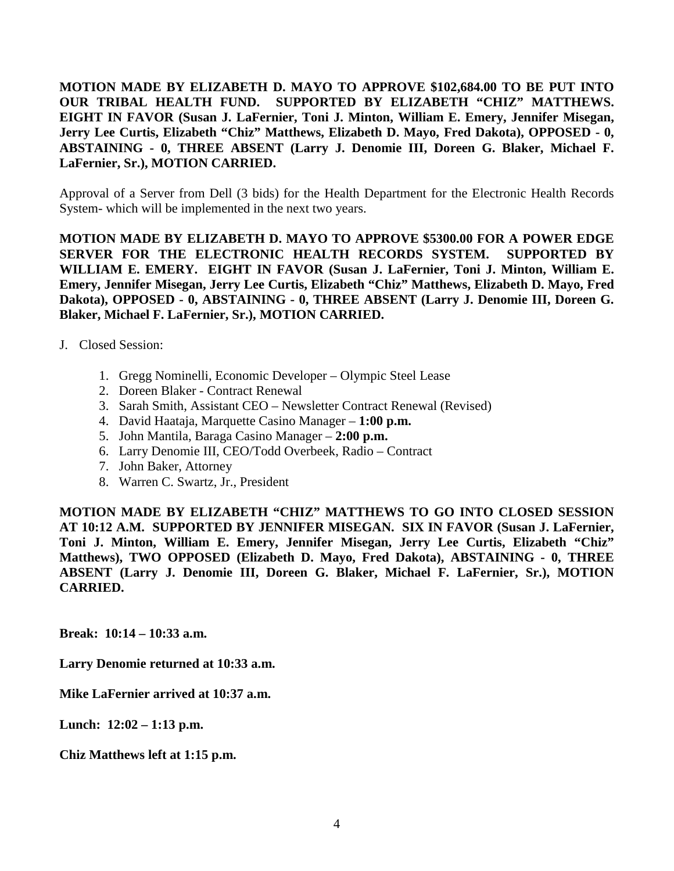**MOTION MADE BY ELIZABETH D. MAYO TO APPROVE \$102,684.00 TO BE PUT INTO OUR TRIBAL HEALTH FUND. SUPPORTED BY ELIZABETH "CHIZ" MATTHEWS. EIGHT IN FAVOR (Susan J. LaFernier, Toni J. Minton, William E. Emery, Jennifer Misegan, Jerry Lee Curtis, Elizabeth "Chiz" Matthews, Elizabeth D. Mayo, Fred Dakota), OPPOSED - 0, ABSTAINING - 0, THREE ABSENT (Larry J. Denomie III, Doreen G. Blaker, Michael F. LaFernier, Sr.), MOTION CARRIED.**

Approval of a Server from Dell (3 bids) for the Health Department for the Electronic Health Records System- which will be implemented in the next two years.

**MOTION MADE BY ELIZABETH D. MAYO TO APPROVE \$5300.00 FOR A POWER EDGE SERVER FOR THE ELECTRONIC HEALTH RECORDS SYSTEM. SUPPORTED BY WILLIAM E. EMERY. EIGHT IN FAVOR (Susan J. LaFernier, Toni J. Minton, William E. Emery, Jennifer Misegan, Jerry Lee Curtis, Elizabeth "Chiz" Matthews, Elizabeth D. Mayo, Fred Dakota), OPPOSED - 0, ABSTAINING - 0, THREE ABSENT (Larry J. Denomie III, Doreen G. Blaker, Michael F. LaFernier, Sr.), MOTION CARRIED.**

- J. Closed Session:
	- 1. Gregg Nominelli, Economic Developer Olympic Steel Lease
	- 2. Doreen Blaker Contract Renewal
	- 3. Sarah Smith, Assistant CEO Newsletter Contract Renewal (Revised)
	- 4. David Haataja, Marquette Casino Manager **1:00 p.m.**
	- 5. John Mantila, Baraga Casino Manager **2:00 p.m.**
	- 6. Larry Denomie III, CEO/Todd Overbeek, Radio Contract
	- 7. John Baker, Attorney
	- 8. Warren C. Swartz, Jr., President

**MOTION MADE BY ELIZABETH "CHIZ" MATTHEWS TO GO INTO CLOSED SESSION AT 10:12 A.M. SUPPORTED BY JENNIFER MISEGAN. SIX IN FAVOR (Susan J. LaFernier, Toni J. Minton, William E. Emery, Jennifer Misegan, Jerry Lee Curtis, Elizabeth "Chiz" Matthews), TWO OPPOSED (Elizabeth D. Mayo, Fred Dakota), ABSTAINING - 0, THREE ABSENT (Larry J. Denomie III, Doreen G. Blaker, Michael F. LaFernier, Sr.), MOTION CARRIED.**

**Break: 10:14 – 10:33 a.m.**

**Larry Denomie returned at 10:33 a.m.**

**Mike LaFernier arrived at 10:37 a.m.**

**Lunch: 12:02 – 1:13 p.m.**

**Chiz Matthews left at 1:15 p.m.**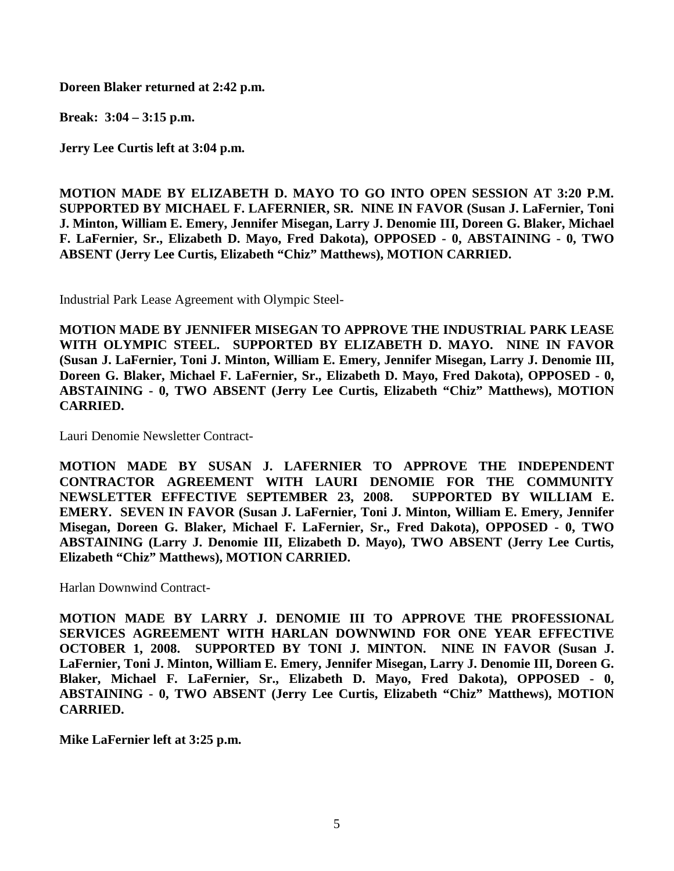**Doreen Blaker returned at 2:42 p.m.**

**Break: 3:04 – 3:15 p.m.**

**Jerry Lee Curtis left at 3:04 p.m.**

**MOTION MADE BY ELIZABETH D. MAYO TO GO INTO OPEN SESSION AT 3:20 P.M. SUPPORTED BY MICHAEL F. LAFERNIER, SR. NINE IN FAVOR (Susan J. LaFernier, Toni J. Minton, William E. Emery, Jennifer Misegan, Larry J. Denomie III, Doreen G. Blaker, Michael F. LaFernier, Sr., Elizabeth D. Mayo, Fred Dakota), OPPOSED - 0, ABSTAINING - 0, TWO ABSENT (Jerry Lee Curtis, Elizabeth "Chiz" Matthews), MOTION CARRIED.**

Industrial Park Lease Agreement with Olympic Steel-

**MOTION MADE BY JENNIFER MISEGAN TO APPROVE THE INDUSTRIAL PARK LEASE WITH OLYMPIC STEEL. SUPPORTED BY ELIZABETH D. MAYO. NINE IN FAVOR (Susan J. LaFernier, Toni J. Minton, William E. Emery, Jennifer Misegan, Larry J. Denomie III, Doreen G. Blaker, Michael F. LaFernier, Sr., Elizabeth D. Mayo, Fred Dakota), OPPOSED - 0, ABSTAINING - 0, TWO ABSENT (Jerry Lee Curtis, Elizabeth "Chiz" Matthews), MOTION CARRIED.**

Lauri Denomie Newsletter Contract-

**MOTION MADE BY SUSAN J. LAFERNIER TO APPROVE THE INDEPENDENT CONTRACTOR AGREEMENT WITH LAURI DENOMIE FOR THE COMMUNITY NEWSLETTER EFFECTIVE SEPTEMBER 23, 2008. SUPPORTED BY WILLIAM E. EMERY. SEVEN IN FAVOR (Susan J. LaFernier, Toni J. Minton, William E. Emery, Jennifer Misegan, Doreen G. Blaker, Michael F. LaFernier, Sr., Fred Dakota), OPPOSED - 0, TWO ABSTAINING (Larry J. Denomie III, Elizabeth D. Mayo), TWO ABSENT (Jerry Lee Curtis, Elizabeth "Chiz" Matthews), MOTION CARRIED.**

Harlan Downwind Contract-

**MOTION MADE BY LARRY J. DENOMIE III TO APPROVE THE PROFESSIONAL SERVICES AGREEMENT WITH HARLAN DOWNWIND FOR ONE YEAR EFFECTIVE OCTOBER 1, 2008. SUPPORTED BY TONI J. MINTON. NINE IN FAVOR (Susan J. LaFernier, Toni J. Minton, William E. Emery, Jennifer Misegan, Larry J. Denomie III, Doreen G. Blaker, Michael F. LaFernier, Sr., Elizabeth D. Mayo, Fred Dakota), OPPOSED - 0, ABSTAINING - 0, TWO ABSENT (Jerry Lee Curtis, Elizabeth "Chiz" Matthews), MOTION CARRIED.**

**Mike LaFernier left at 3:25 p.m.**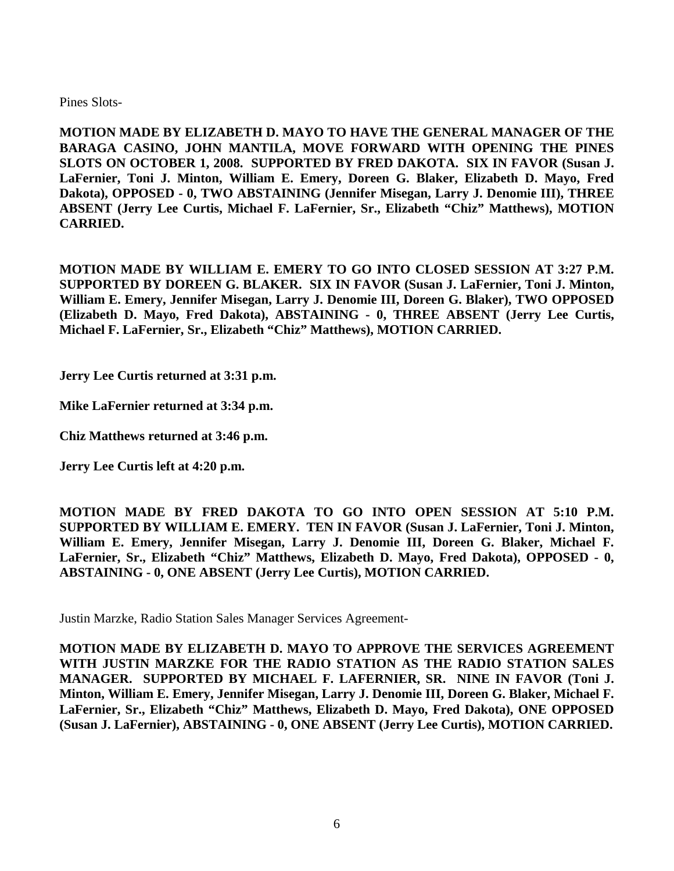Pines Slots-

**MOTION MADE BY ELIZABETH D. MAYO TO HAVE THE GENERAL MANAGER OF THE BARAGA CASINO, JOHN MANTILA, MOVE FORWARD WITH OPENING THE PINES SLOTS ON OCTOBER 1, 2008. SUPPORTED BY FRED DAKOTA. SIX IN FAVOR (Susan J. LaFernier, Toni J. Minton, William E. Emery, Doreen G. Blaker, Elizabeth D. Mayo, Fred Dakota), OPPOSED - 0, TWO ABSTAINING (Jennifer Misegan, Larry J. Denomie III), THREE ABSENT (Jerry Lee Curtis, Michael F. LaFernier, Sr., Elizabeth "Chiz" Matthews), MOTION CARRIED.**

**MOTION MADE BY WILLIAM E. EMERY TO GO INTO CLOSED SESSION AT 3:27 P.M. SUPPORTED BY DOREEN G. BLAKER. SIX IN FAVOR (Susan J. LaFernier, Toni J. Minton, William E. Emery, Jennifer Misegan, Larry J. Denomie III, Doreen G. Blaker), TWO OPPOSED (Elizabeth D. Mayo, Fred Dakota), ABSTAINING - 0, THREE ABSENT (Jerry Lee Curtis, Michael F. LaFernier, Sr., Elizabeth "Chiz" Matthews), MOTION CARRIED.**

**Jerry Lee Curtis returned at 3:31 p.m.**

**Mike LaFernier returned at 3:34 p.m.**

**Chiz Matthews returned at 3:46 p.m.**

**Jerry Lee Curtis left at 4:20 p.m.**

**MOTION MADE BY FRED DAKOTA TO GO INTO OPEN SESSION AT 5:10 P.M. SUPPORTED BY WILLIAM E. EMERY. TEN IN FAVOR (Susan J. LaFernier, Toni J. Minton, William E. Emery, Jennifer Misegan, Larry J. Denomie III, Doreen G. Blaker, Michael F. LaFernier, Sr., Elizabeth "Chiz" Matthews, Elizabeth D. Mayo, Fred Dakota), OPPOSED - 0, ABSTAINING - 0, ONE ABSENT (Jerry Lee Curtis), MOTION CARRIED.**

Justin Marzke, Radio Station Sales Manager Services Agreement-

**MOTION MADE BY ELIZABETH D. MAYO TO APPROVE THE SERVICES AGREEMENT WITH JUSTIN MARZKE FOR THE RADIO STATION AS THE RADIO STATION SALES MANAGER. SUPPORTED BY MICHAEL F. LAFERNIER, SR. NINE IN FAVOR (Toni J. Minton, William E. Emery, Jennifer Misegan, Larry J. Denomie III, Doreen G. Blaker, Michael F. LaFernier, Sr., Elizabeth "Chiz" Matthews, Elizabeth D. Mayo, Fred Dakota), ONE OPPOSED (Susan J. LaFernier), ABSTAINING - 0, ONE ABSENT (Jerry Lee Curtis), MOTION CARRIED.**